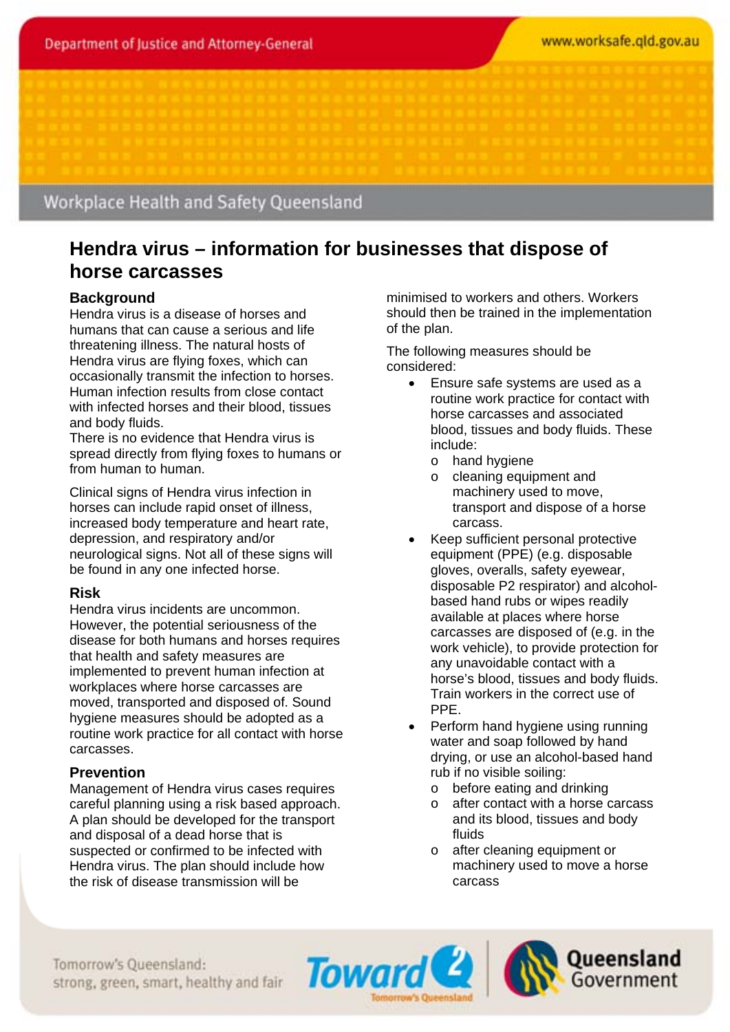# Workplace Health and Safety Queensland

# **Hendra virus – information for businesses that dispose of horse carcasses**

# **Background**

Hendra virus is a disease of horses and humans that can cause a serious and life threatening illness. The natural hosts of Hendra virus are flying foxes, which can occasionally transmit the infection to horses. Human infection results from close contact with infected horses and their blood, tissues and body fluids.

There is no evidence that Hendra virus is spread directly from flying foxes to humans or from human to human.

Clinical signs of Hendra virus infection in horses can include rapid onset of illness, increased body temperature and heart rate, depression, and respiratory and/or neurological signs. Not all of these signs will be found in any one infected horse.

#### **Risk**

Hendra virus incidents are uncommon. However, the potential seriousness of the disease for both humans and horses requires that health and safety measures are implemented to prevent human infection at workplaces where horse carcasses are moved, transported and disposed of. Sound hygiene measures should be adopted as a routine work practice for all contact with horse carcasses.

# **Prevention**

Management of Hendra virus cases requires careful planning using a risk based approach. A plan should be developed for the transport and disposal of a dead horse that is suspected or confirmed to be infected with Hendra virus. The plan should include how the risk of disease transmission will be

minimised to workers and others. Workers should then be trained in the implementation of the plan.

The following measures should be considered:

- Ensure safe systems are used as a routine work practice for contact with horse carcasses and associated blood, tissues and body fluids. These include:
	- o hand hygiene
	- o cleaning equipment and machinery used to move, transport and dispose of a horse carcass.
- Keep sufficient personal protective equipment (PPE) (e.g. disposable gloves, overalls, safety eyewear, disposable P2 respirator) and alcoholbased hand rubs or wipes readily available at places where horse carcasses are disposed of (e.g. in the work vehicle), to provide protection for any unavoidable contact with a horse's blood, tissues and body fluids. Train workers in the correct use of PPE.
- Perform hand hygiene using running water and soap followed by hand drying, or use an alcohol-based hand rub if no visible soiling:
	- o before eating and drinking<br>o after contact with a horse
	- after contact with a horse carcass and its blood, tissues and body fluids
	- o after cleaning equipment or machinery used to move a horse carcass

Tomorrow's Queensland: strong, green, smart, healthy and fair